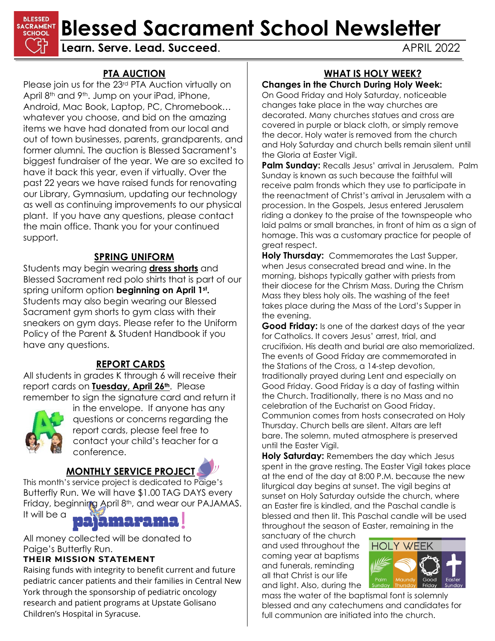

# **BLESSED Blessed Sacrament School Newsletter** Channel **Reflex Containery Blessed Sacrament School Newsletter**

#### **PTA AUCTION**

Please join us for the 23<sup>rd</sup> PTA Auction virtually on April 8<sup>th</sup> and 9<sup>th</sup>. Jump on your iPad, iPhone, Android, Mac Book, Laptop, PC, Chromebook… whatever you choose, and bid on the amazing items we have had donated from our local and out of town businesses, parents, grandparents, and former alumni. The auction is Blessed Sacrament's biggest fundraiser of the year. We are so excited to have it back this year, even if virtually. Over the past 22 years we have raised funds for renovating our Library, Gymnasium, updating our technology as well as continuing improvements to our physical plant. If you have any questions, please contact the main office. Thank you for your continued support.

## **SPRING UNIFORM**

Students may begin wearing **dress shorts** and Blessed Sacrament red polo shirts that is part of our spring uniform option **beginning on April 1st.** Students may also begin wearing our Blessed Sacrament gym shorts to gym class with their sneakers on gym days. Please refer to the Uniform Policy of the Parent & Student Handbook if you have any questions.

## **REPORT CARDS**

All students in grades K through 6 will receive their report cards on **Tuesday, April 26th.** Please remember to sign the signature card and return it



in the envelope. If anyone has any questions or concerns regarding the report cards, please feel free to contact your child's teacher for a conference.

# **MONTHLY SERVICE PROJECT**

This month's service project is dedicated to Paige's Butterfly Run. We will have \$1.00 TAG DAYS every Friday, beginning April 8th, and wear our PAJAMAS. It will be a



All money collected will be donated to Paige's Butterfly Run.

#### **THEIR MISSION STATEMENT**

Raising funds with integrity to benefit current and future pediatric cancer patients and their families in Central New York through the sponsorship of pediatric oncology research and patient programs at Upstate Golisano Children's Hospital in Syracuse.

# **WHAT IS HOLY WEEK?**

## **Changes in the Church During Holy Week:**

On Good Friday and Holy Saturday, noticeable changes take place in the way churches are decorated. Many churches statues and cross are covered in purple or black cloth, or simply remove the decor. Holy water is removed from the church and Holy Saturday and church bells remain silent until the Gloria at Easter Vigil.

**Palm Sunday:** Recalls Jesus' arrival in Jerusalem. Palm Sunday is known as such because the faithful will receive palm fronds which they use to participate in the reenactment of Christ's arrival in Jerusalem with a procession. In the Gospels, Jesus entered Jerusalem riding a donkey to the praise of the townspeople who laid palms or small branches, in front of him as a sign of homage. This was a customary practice for people of great respect.

**Holy Thursday:** Commemorates the Last Supper, when Jesus consecrated bread and wine. In the morning, bishops typically gather with priests from their diocese for the Chrism Mass. During the Chrism Mass they bless holy oils. The washing of the feet takes place during the Mass of the Lord's Supper in the evening.

**Good Friday:** Is one of the darkest days of the year for Catholics. It covers Jesus' arrest, trial, and crucifixion. His death and burial are also memorialized. The events of Good Friday are commemorated in the Stations of the Cross, a 14-step devotion, traditionally prayed during Lent and especially on Good Friday. Good Friday is a day of fasting within the Church. Traditionally, there is no Mass and no celebration of the Eucharist on Good Friday. Communion comes from hosts consecrated on Holy Thursday. Church bells are silent. Altars are left bare. The solemn, muted atmosphere is preserved until the Easter Vigil.

**Holy Saturday:** Remembers the day which Jesus spent in the grave resting. The Easter Vigil takes place at the end of the day at 8:00 P.M. because the new liturgical day begins at sunset. The vigil begins at sunset on Holy Saturday outside the church, where an Easter fire is kindled, and the Paschal candle is blessed and then lit. This Paschal candle will be used throughout the season of Easter, remaining in the

sanctuary of the church and used throughout the coming year at baptisms and funerals, reminding all that Christ is our life and light. Also, during the



mass the water of the baptismal font is solemnly blessed and any catechumens and candidates for full communion are initiated into the church.